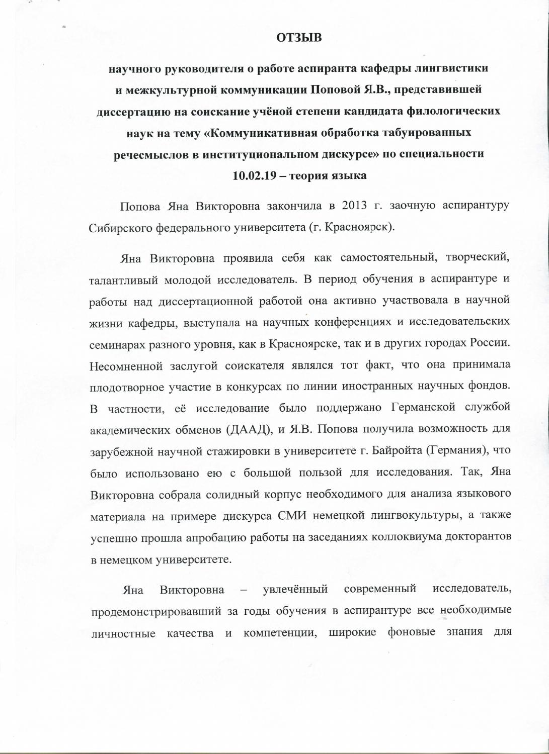## **ОТЗЫВ**

научного руководителя о работе аспиранта кафедры лингвистики и межкультурной коммуникации Поповой Я.В., представившей диссертацию на соискание учёной степени кандидата филологических наук на тему «Коммуникативная обработка табуированных речесмыслов в институциональном дискурсе» по специальности  $10.02.19$  – теория языка

Попова Яна Викторовна закончила в 2013 г. заочную аспирантуру Сибирского федерального университета (г. Красноярск).

Яна Викторовна проявила себя как самостоятельный, творческий, талантливый молодой исследователь. В период обучения в аспирантуре и работы над диссертационной работой она активно участвовала в научной жизни кафедры, выступала на научных конференциях и исследовательских семинарах разного уровня, как в Красноярске, так и в других городах России. Несомненной заслугой соискателя являлся тот факт, что она принимала плодотворное участие в конкурсах по линии иностранных научных фондов. В частности, её исследование было поддержано Германской службой академических обменов (ДААД), и Я.В. Попова получила возможность для зарубежной научной стажировки в университете г. Байройта (Германия), что было использовано ею с большой пользой для исследования. Так, Яна Викторовна собрала солидный корпус необходимого для анализа языкового материала на примере дискурса СМИ немецкой лингвокультуры, а также успешно прошла апробацию работы на заседаниях коллоквиума докторантов в немецком университете.

увлечённый современный исследователь, Яна Викторовна  $\qquad \qquad$ продемонстрировавший за годы обучения в аспирантуре все необходимые личностные качества и компетенции, широкие фоновые знания для